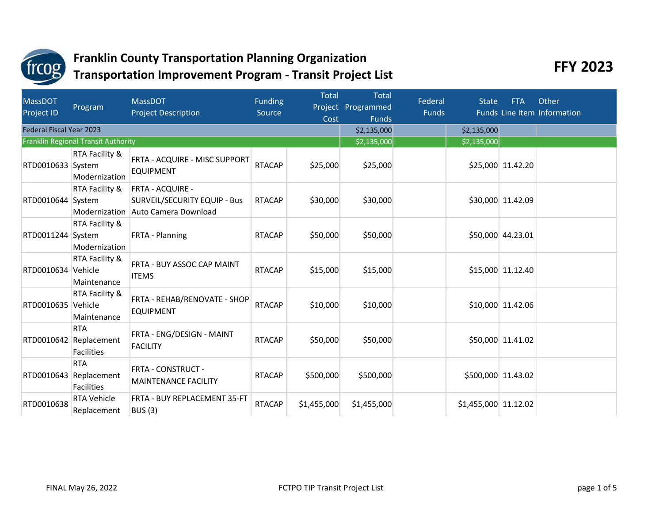

| <b>MassDOT</b><br><b>Project ID</b> | Program                                        | <b>MassDOT</b><br><b>Project Description</b>                                           | <b>Funding</b><br>Source | <b>Total</b><br>Cost | <b>Total</b><br>Project Programmed<br><b>Funds</b> | Federal<br><b>Funds</b> | <b>State</b>         | <b>FTA</b>        | Other<br>Funds Line Item Information |
|-------------------------------------|------------------------------------------------|----------------------------------------------------------------------------------------|--------------------------|----------------------|----------------------------------------------------|-------------------------|----------------------|-------------------|--------------------------------------|
| <b>Federal Fiscal Year 2023</b>     |                                                |                                                                                        |                          |                      | \$2,135,000                                        |                         | \$2,135,000          |                   |                                      |
|                                     | Franklin Regional Transit Authority            |                                                                                        |                          |                      | \$2,135,000                                        |                         | \$2,135,000          |                   |                                      |
| RTD0010633 System                   | RTA Facility &<br>Modernization                | FRTA - ACQUIRE - MISC SUPPORT<br><b>EQUIPMENT</b>                                      | <b>RTACAP</b>            | \$25,000             | \$25,000                                           |                         |                      | \$25,000 11.42.20 |                                      |
| RTD0010644 System                   | RTA Facility &<br>Modernization                | <b>FRTA - ACQUIRE -</b><br><b>SURVEIL/SECURITY EQUIP - Bus</b><br>Auto Camera Download | <b>RTACAP</b>            | \$30,000             | \$30,000                                           |                         |                      | \$30,000 11.42.09 |                                      |
| RTD0011244 System                   | RTA Facility &<br>Modernization                | FRTA - Planning                                                                        | <b>RTACAP</b>            | \$50,000             | \$50,000                                           |                         |                      | \$50,000 44.23.01 |                                      |
| RTD0010634                          | RTA Facility &<br>Vehicle<br>Maintenance       | FRTA - BUY ASSOC CAP MAINT<br><b>ITEMS</b>                                             | <b>RTACAP</b>            | \$15,000             | \$15,000                                           |                         |                      | \$15,000 11.12.40 |                                      |
| RTD0010635                          | RTA Facility &<br>Vehicle<br>Maintenance       | FRTA - REHAB/RENOVATE - SHOP<br><b>EQUIPMENT</b>                                       | <b>RTACAP</b>            | \$10,000             | \$10,000                                           |                         |                      | \$10,000 11.42.06 |                                      |
| RTD0010642                          | <b>RTA</b><br>Replacement<br><b>Facilities</b> | FRTA - ENG/DESIGN - MAINT<br><b>FACILITY</b>                                           | <b>RTACAP</b>            | \$50,000             | \$50,000                                           |                         |                      | \$50,000 11.41.02 |                                      |
| RTD0010643                          | <b>RTA</b><br>Replacement<br><b>Facilities</b> | FRTA - CONSTRUCT -<br><b>MAINTENANCE FACILITY</b>                                      | <b>RTACAP</b>            | \$500,000            | \$500,000                                          |                         | \$500,000 11.43.02   |                   |                                      |
| RTD0010638                          | <b>RTA Vehicle</b><br>Replacement              | FRTA - BUY REPLACEMENT 35-FT<br><b>BUS (3)</b>                                         | <b>RTACAP</b>            | \$1,455,000          | \$1,455,000                                        |                         | \$1,455,000 11.12.02 |                   |                                      |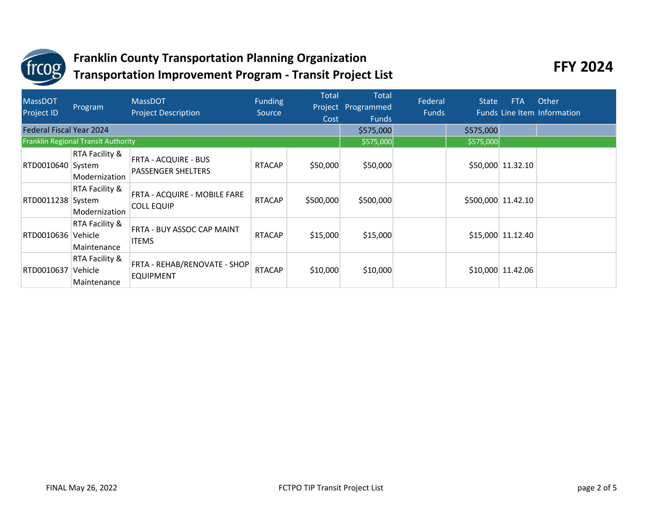

| <b>MassDOT</b><br><b>Project ID</b> | Program                                    | <b>MassDOT</b><br><b>Project Description</b>             | Funding<br>Source | Total<br>Cost | <b>Total</b><br>Project Programmed<br><b>Funds</b> | Federal<br><b>Funds</b> | <b>State</b> | <b>FTA</b>         | Other<br>Funds Line Item Information |
|-------------------------------------|--------------------------------------------|----------------------------------------------------------|-------------------|---------------|----------------------------------------------------|-------------------------|--------------|--------------------|--------------------------------------|
| <b>Federal Fiscal Year 2024</b>     |                                            |                                                          |                   |               |                                                    | \$575,000               | \$575,000    |                    |                                      |
|                                     | <b>Franklin Regional Transit Authority</b> |                                                          |                   |               | \$575,000                                          |                         | \$575,000    |                    |                                      |
| RTD0010640 System                   | RTA Facility &<br>Modernization            | <b>FRTA - ACQUIRE - BUS</b><br><b>PASSENGER SHELTERS</b> | <b>RTACAP</b>     | \$50,000      | \$50,000                                           |                         |              | \$50,000 11.32.10  |                                      |
| RTD0011238 System                   | RTA Facility &<br>Modernization            | FRTA - ACQUIRE - MOBILE FARE<br><b>COLL EQUIP</b>        | <b>RTACAP</b>     | \$500,000     | \$500,000                                          |                         |              | \$500,000 11.42.10 |                                      |
| RTD0010636                          | RTA Facility &<br>Vehicle<br>Maintenance   | FRTA - BUY ASSOC CAP MAINT<br><b>ITEMS</b>               | <b>RTACAP</b>     | \$15,000      | \$15,000                                           |                         |              | \$15,000 11.12.40  |                                      |
| RTD0010637                          | RTA Facility &<br>Vehicle<br>Maintenance   | FRTA - REHAB/RENOVATE - SHOP<br><b>EQUIPMENT</b>         | <b>RTACAP</b>     | \$10,000      | \$10,000                                           |                         |              | \$10,000 11.42.06  |                                      |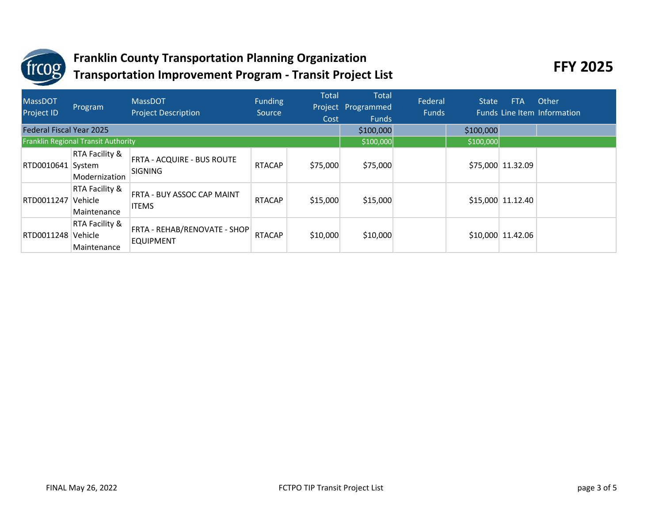

| <b>MassDOT</b><br><b>Project ID</b> | Program                                    | <b>MassDOT</b><br><b>Project Description</b>        | Funding<br>Source | Total<br>Cost | <b>Total</b><br>Project Programmed<br><b>Funds</b> | Federal<br><b>Funds</b> | <b>State</b> | <b>FTA</b>         | Other<br><b>Funds Line Item Information</b> |
|-------------------------------------|--------------------------------------------|-----------------------------------------------------|-------------------|---------------|----------------------------------------------------|-------------------------|--------------|--------------------|---------------------------------------------|
| <b>Federal Fiscal Year 2025</b>     |                                            |                                                     |                   |               |                                                    | \$100,000               | \$100,000    |                    |                                             |
|                                     | <b>Franklin Regional Transit Authority</b> |                                                     |                   |               | \$100,000                                          |                         | \$100,000    |                    |                                             |
| RTD0010641 System                   | RTA Facility &<br>Modernization            | <b>FRTA - ACQUIRE - BUS ROUTE</b><br><b>SIGNING</b> | <b>RTACAP</b>     | \$75,000      | \$75,000                                           |                         |              | \$75,000 11.32.09  |                                             |
| RTD0011247                          | RTA Facility &<br>Vehicle<br>Maintenance   | FRTA - BUY ASSOC CAP MAINT<br><b>ITEMS</b>          | <b>RTACAP</b>     | \$15,000      | \$15,000                                           |                         |              | \$15,000 11.12.40  |                                             |
| RTD0011248                          | RTA Facility &<br>Vehicle<br>Maintenance   | FRTA - REHAB/RENOVATE - SHOP<br><b>EQUIPMENT</b>    | <b>RTACAP</b>     | \$10,000      | \$10,000                                           |                         |              | $$10,000$ 11.42.06 |                                             |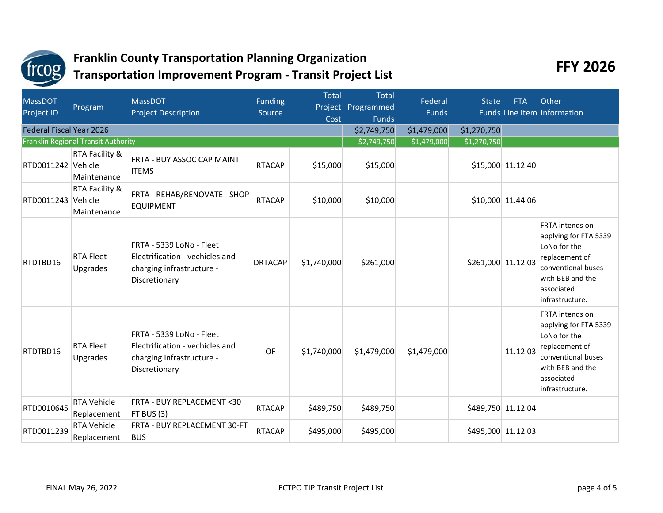

| <b>MassDOT</b><br>Project ID    | Program                                  | <b>MassDOT</b><br><b>Project Description</b>                                                              | <b>Funding</b><br>Source | <b>Total</b><br>Cost | <b>Total</b><br>Project Programmed<br><b>Funds</b> | Federal<br><b>Funds</b> | <b>State</b>       | <b>FTA</b>         | Other<br>Funds Line Item Information                                                                                                                         |
|---------------------------------|------------------------------------------|-----------------------------------------------------------------------------------------------------------|--------------------------|----------------------|----------------------------------------------------|-------------------------|--------------------|--------------------|--------------------------------------------------------------------------------------------------------------------------------------------------------------|
| <b>Federal Fiscal Year 2026</b> |                                          |                                                                                                           |                          |                      | \$2,749,750                                        | \$1,479,000             | \$1,270,750        |                    |                                                                                                                                                              |
|                                 | Franklin Regional Transit Authority      |                                                                                                           |                          |                      | \$2,749,750                                        | \$1,479,000             | \$1,270,750        |                    |                                                                                                                                                              |
| RTD0011242 Vehicle              | RTA Facility &<br>Maintenance            | FRTA - BUY ASSOC CAP MAINT<br><b>ITEMS</b>                                                                | <b>RTACAP</b>            | \$15,000             | \$15,000                                           |                         |                    | \$15,000 11.12.40  |                                                                                                                                                              |
| RTD0011243                      | RTA Facility &<br>Vehicle<br>Maintenance | FRTA - REHAB/RENOVATE - SHOP<br><b>EQUIPMENT</b>                                                          | <b>RTACAP</b>            | \$10,000             | \$10,000                                           |                         |                    | \$10,000 11.44.06  |                                                                                                                                                              |
| RTDTBD16                        | <b>RTA Fleet</b><br>Upgrades             | FRTA - 5339 LoNo - Fleet<br>Electrification - vechicles and<br>charging infrastructure -<br>Discretionary | <b>DRTACAP</b>           | \$1,740,000          | \$261,000                                          |                         | \$261,000 11.12.03 |                    | <b>FRTA</b> intends on<br>applying for FTA 5339<br>LoNo for the<br>replacement of<br>conventional buses<br>with BEB and the<br>associated<br>infrastructure. |
| RTDTBD16                        | <b>RTA Fleet</b><br><b>Upgrades</b>      | FRTA - 5339 LoNo - Fleet<br>Electrification - vechicles and<br>charging infrastructure -<br>Discretionary | <b>OF</b>                | \$1,740,000          | \$1,479,000                                        | \$1,479,000             |                    | 11.12.03           | <b>FRTA</b> intends on<br>applying for FTA 5339<br>LoNo for the<br>replacement of<br>conventional buses<br>with BEB and the<br>associated<br>infrastructure. |
| RTD0010645                      | <b>RTA Vehicle</b><br>Replacement        | FRTA - BUY REPLACEMENT <30<br>FT BUS (3)                                                                  | <b>RTACAP</b>            | \$489,750            | \$489,750                                          |                         |                    | \$489,750 11.12.04 |                                                                                                                                                              |
| RTD0011239                      | <b>RTA Vehicle</b><br>Replacement        | FRTA - BUY REPLACEMENT 30-FT<br><b>BUS</b>                                                                | <b>RTACAP</b>            | \$495,000            | \$495,000                                          |                         |                    | \$495,000 11.12.03 |                                                                                                                                                              |